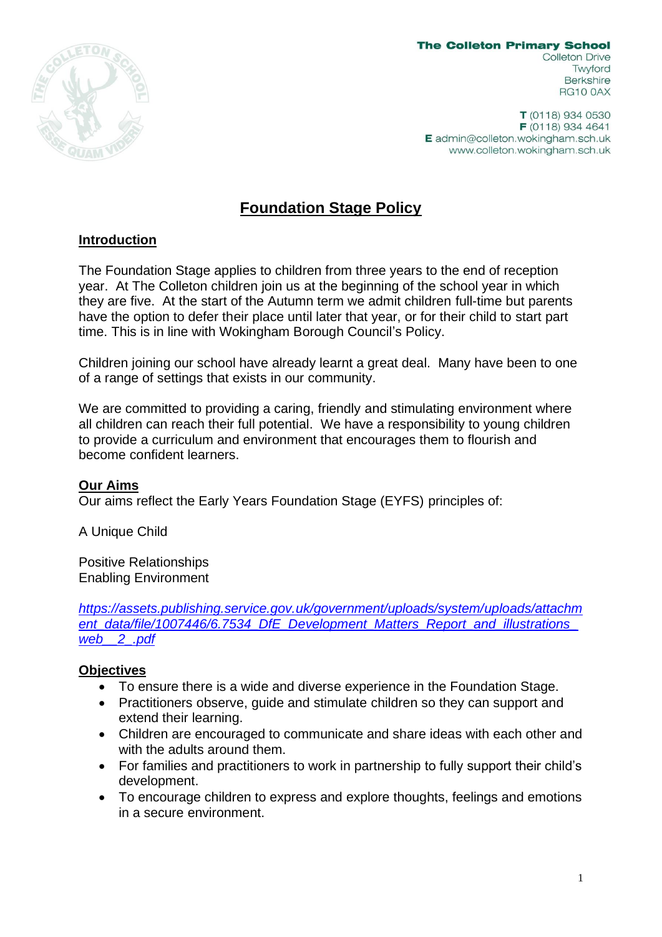

**The Colleton Primary School** Colleton Drive Twyford **Berkshire RG10 0AX** 

T (0118) 934 0530  $F(0118)$  934 4641 E admin@colleton.wokingham.sch.uk www.colleton.wokingham.sch.uk

# **Foundation Stage Policy**

## **Introduction**

The Foundation Stage applies to children from three years to the end of reception year. At The Colleton children join us at the beginning of the school year in which they are five. At the start of the Autumn term we admit children full-time but parents have the option to defer their place until later that year, or for their child to start part time. This is in line with Wokingham Borough Council's Policy.

Children joining our school have already learnt a great deal. Many have been to one of a range of settings that exists in our community.

We are committed to providing a caring, friendly and stimulating environment where all children can reach their full potential. We have a responsibility to young children to provide a curriculum and environment that encourages them to flourish and become confident learners.

#### **Our Aims**

Our aims reflect the Early Years Foundation Stage (EYFS) principles of:

A Unique Child

Positive Relationships Enabling Environment

*[https://assets.publishing.service.gov.uk/government/uploads/system/uploads/attachm](https://assets.publishing.service.gov.uk/government/uploads/system/uploads/attachment_data/file/1007446/6.7534_DfE_Development_Matters_Report_and_illustrations_web__2_.pdf) [ent\\_data/file/1007446/6.7534\\_DfE\\_Development\\_Matters\\_Report\\_and\\_illustrations\\_](https://assets.publishing.service.gov.uk/government/uploads/system/uploads/attachment_data/file/1007446/6.7534_DfE_Development_Matters_Report_and_illustrations_web__2_.pdf) [web\\_\\_2\\_.pdf](https://assets.publishing.service.gov.uk/government/uploads/system/uploads/attachment_data/file/1007446/6.7534_DfE_Development_Matters_Report_and_illustrations_web__2_.pdf)*

# **Objectives**

- To ensure there is a wide and diverse experience in the Foundation Stage.
- Practitioners observe, guide and stimulate children so they can support and extend their learning.
- Children are encouraged to communicate and share ideas with each other and with the adults around them.
- For families and practitioners to work in partnership to fully support their child's development.
- To encourage children to express and explore thoughts, feelings and emotions in a secure environment.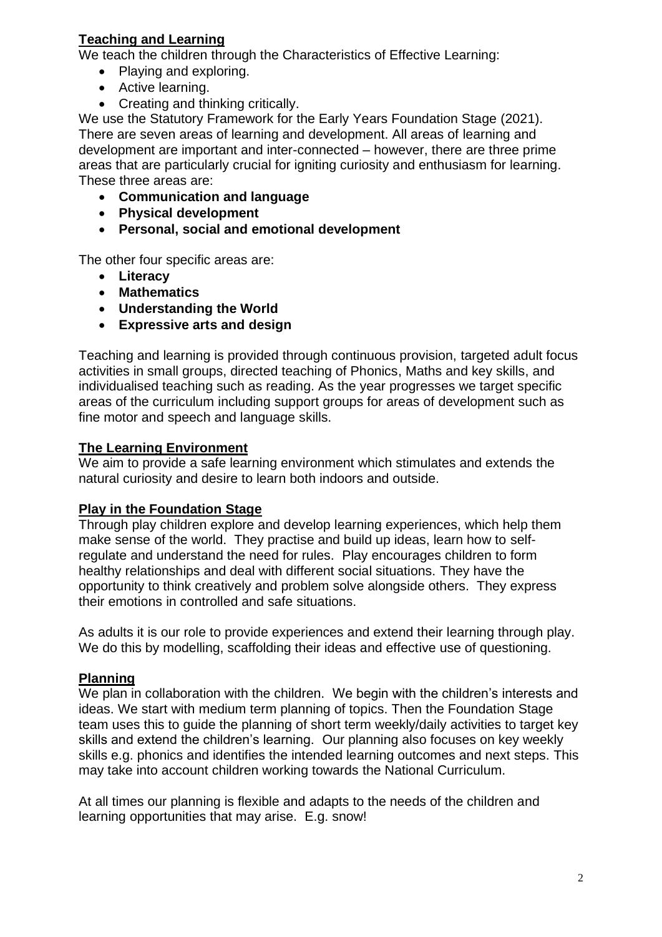# **Teaching and Learning**

We teach the children through the Characteristics of Effective Learning:

- Playing and exploring.
- Active learning.
- Creating and thinking critically.

We use the Statutory Framework for the Early Years Foundation Stage (2021). There are seven areas of learning and development. All areas of learning and development are important and inter-connected – however, there are three prime areas that are particularly crucial for igniting curiosity and enthusiasm for learning. These three areas are:

- **Communication and language**
- **Physical development**
- **Personal, social and emotional development**

The other four specific areas are:

- **Literacy**
- **Mathematics**
- **Understanding the World**
- **Expressive arts and design**

Teaching and learning is provided through continuous provision, targeted adult focus activities in small groups, directed teaching of Phonics, Maths and key skills, and individualised teaching such as reading. As the year progresses we target specific areas of the curriculum including support groups for areas of development such as fine motor and speech and language skills.

## **The Learning Environment**

We aim to provide a safe learning environment which stimulates and extends the natural curiosity and desire to learn both indoors and outside.

#### **Play in the Foundation Stage**

Through play children explore and develop learning experiences, which help them make sense of the world. They practise and build up ideas, learn how to selfregulate and understand the need for rules. Play encourages children to form healthy relationships and deal with different social situations. They have the opportunity to think creatively and problem solve alongside others. They express their emotions in controlled and safe situations.

As adults it is our role to provide experiences and extend their learning through play. We do this by modelling, scaffolding their ideas and effective use of questioning.

# **Planning**

We plan in collaboration with the children. We begin with the children's interests and ideas. We start with medium term planning of topics. Then the Foundation Stage team uses this to guide the planning of short term weekly/daily activities to target key skills and extend the children's learning. Our planning also focuses on key weekly skills e.g. phonics and identifies the intended learning outcomes and next steps. This may take into account children working towards the National Curriculum.

At all times our planning is flexible and adapts to the needs of the children and learning opportunities that may arise. E.g. snow!